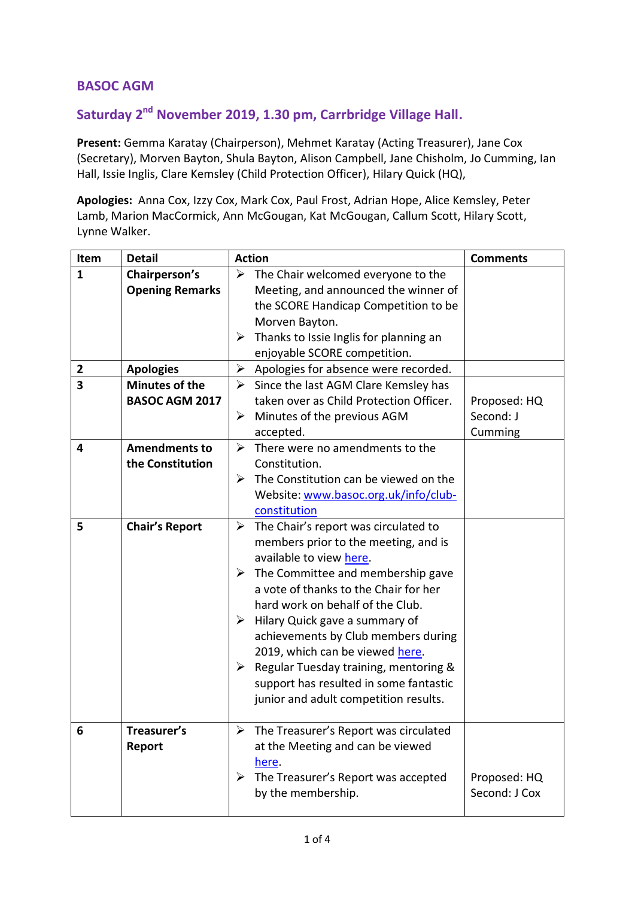## **BASOC AGM**

## **Saturday 2 nd November 2019, 1.30 pm, Carrbridge Village Hall.**

**Present:** Gemma Karatay (Chairperson), Mehmet Karatay (Acting Treasurer), Jane Cox (Secretary), Morven Bayton, Shula Bayton, Alison Campbell, Jane Chisholm, Jo Cumming, Ian Hall, Issie Inglis, Clare Kemsley (Child Protection Officer), Hilary Quick (HQ),

**Apologies:** Anna Cox, Izzy Cox, Mark Cox, Paul Frost, Adrian Hope, Alice Kemsley, Peter Lamb, Marion MacCormick, Ann McGougan, Kat McGougan, Callum Scott, Hilary Scott, Lynne Walker.

| Item                    | <b>Detail</b>          | <b>Action</b>         |                                                        | <b>Comments</b> |
|-------------------------|------------------------|-----------------------|--------------------------------------------------------|-----------------|
| $\mathbf{1}$            | Chairperson's          |                       | $\triangleright$ The Chair welcomed everyone to the    |                 |
|                         | <b>Opening Remarks</b> |                       | Meeting, and announced the winner of                   |                 |
|                         |                        |                       | the SCORE Handicap Competition to be                   |                 |
|                         |                        |                       | Morven Bayton.                                         |                 |
|                         |                        | ➤                     | Thanks to Issie Inglis for planning an                 |                 |
|                         |                        |                       | enjoyable SCORE competition.                           |                 |
| $\mathbf{2}$            | <b>Apologies</b>       | $\blacktriangleright$ | Apologies for absence were recorded.                   |                 |
| $\overline{\mathbf{3}}$ | <b>Minutes of the</b>  | ➤                     | Since the last AGM Clare Kemsley has                   |                 |
|                         | <b>BASOC AGM 2017</b>  |                       | taken over as Child Protection Officer.                | Proposed: HQ    |
|                         |                        | ➤                     | Minutes of the previous AGM                            | Second: J       |
|                         |                        |                       | accepted.                                              | Cumming         |
| 4                       | <b>Amendments to</b>   | ➤                     | There were no amendments to the                        |                 |
|                         | the Constitution       |                       | Constitution.                                          |                 |
|                         |                        | ➤                     | The Constitution can be viewed on the                  |                 |
|                         |                        |                       | Website: www.basoc.org.uk/info/club-                   |                 |
|                         |                        |                       | constitution                                           |                 |
| 5                       | <b>Chair's Report</b>  | ➤                     | The Chair's report was circulated to                   |                 |
|                         |                        |                       | members prior to the meeting, and is                   |                 |
|                         |                        |                       | available to view here.                                |                 |
|                         |                        |                       | $\triangleright$ The Committee and membership gave     |                 |
|                         |                        |                       | a vote of thanks to the Chair for her                  |                 |
|                         |                        |                       | hard work on behalf of the Club.                       |                 |
|                         |                        | ➤                     | Hilary Quick gave a summary of                         |                 |
|                         |                        |                       | achievements by Club members during                    |                 |
|                         |                        |                       | 2019, which can be viewed here.                        |                 |
|                         |                        | ≻                     | Regular Tuesday training, mentoring &                  |                 |
|                         |                        |                       | support has resulted in some fantastic                 |                 |
|                         |                        |                       | junior and adult competition results.                  |                 |
|                         |                        |                       |                                                        |                 |
| 6                       | Treasurer's            |                       | $\triangleright$ The Treasurer's Report was circulated |                 |
|                         | Report                 |                       | at the Meeting and can be viewed                       |                 |
|                         |                        |                       | here.                                                  |                 |
|                         |                        | ≻                     | The Treasurer's Report was accepted                    | Proposed: HQ    |
|                         |                        |                       | by the membership.                                     | Second: J Cox   |
|                         |                        |                       |                                                        |                 |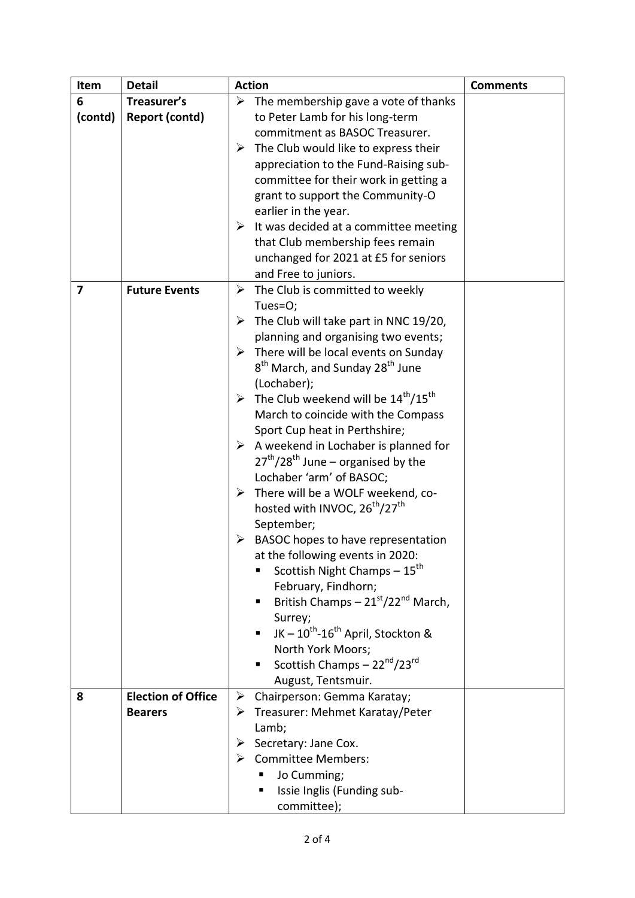| Item    | <b>Detail</b>             | <b>Action</b>                                                                | <b>Comments</b> |
|---------|---------------------------|------------------------------------------------------------------------------|-----------------|
| 6       | Treasurer's               | $\triangleright$ The membership gave a vote of thanks                        |                 |
| (contd) | <b>Report (contd)</b>     | to Peter Lamb for his long-term                                              |                 |
|         |                           | commitment as BASOC Treasurer.                                               |                 |
|         |                           | The Club would like to express their<br>➤                                    |                 |
|         |                           | appreciation to the Fund-Raising sub-                                        |                 |
|         |                           | committee for their work in getting a                                        |                 |
|         |                           | grant to support the Community-O                                             |                 |
|         |                           | earlier in the year.                                                         |                 |
|         |                           | $\triangleright$ It was decided at a committee meeting                       |                 |
|         |                           | that Club membership fees remain                                             |                 |
|         |                           | unchanged for 2021 at £5 for seniors                                         |                 |
|         |                           | and Free to juniors.                                                         |                 |
| 7       | <b>Future Events</b>      | The Club is committed to weekly<br>➤                                         |                 |
|         |                           | Tues=O;                                                                      |                 |
|         |                           | $\triangleright$ The Club will take part in NNC 19/20,                       |                 |
|         |                           | planning and organising two events;                                          |                 |
|         |                           | $\triangleright$ There will be local events on Sunday                        |                 |
|         |                           | 8 <sup>th</sup> March, and Sunday 28 <sup>th</sup> June                      |                 |
|         |                           | (Lochaber);                                                                  |                 |
|         |                           | $\triangleright$ The Club weekend will be 14 <sup>th</sup> /15 <sup>th</sup> |                 |
|         |                           | March to coincide with the Compass                                           |                 |
|         |                           | Sport Cup heat in Perthshire;                                                |                 |
|         |                           | $\triangleright$ A weekend in Lochaber is planned for                        |                 |
|         |                           | $27^{th}/28^{th}$ June – organised by the                                    |                 |
|         |                           | Lochaber 'arm' of BASOC;                                                     |                 |
|         |                           | There will be a WOLF weekend, co-<br>➤                                       |                 |
|         |                           | hosted with INVOC, 26 <sup>th</sup> /27 <sup>th</sup>                        |                 |
|         |                           | September;                                                                   |                 |
|         |                           | BASOC hopes to have representation<br>➤                                      |                 |
|         |                           | at the following events in 2020:                                             |                 |
|         |                           | Scottish Night Champs - 15 <sup>th</sup><br>п                                |                 |
|         |                           | February, Findhorn;                                                          |                 |
|         |                           | British Champs $-21^{st}/22^{nd}$ March,                                     |                 |
|         |                           | Surrey;                                                                      |                 |
|         |                           | JK - $10^{th}$ - $16^{th}$ April, Stockton &                                 |                 |
|         |                           | North York Moors;                                                            |                 |
|         |                           | Scottish Champs - 22 <sup>nd</sup> /23 <sup>rd</sup><br>٠                    |                 |
|         |                           | August, Tentsmuir.                                                           |                 |
| 8       | <b>Election of Office</b> | $\triangleright$ Chairperson: Gemma Karatay;                                 |                 |
|         | <b>Bearers</b>            | > Treasurer: Mehmet Karatay/Peter                                            |                 |
|         |                           | Lamb;                                                                        |                 |
|         |                           | Secretary: Jane Cox.<br>➤                                                    |                 |
|         |                           | <b>Committee Members:</b><br>➤                                               |                 |
|         |                           | Jo Cumming;                                                                  |                 |
|         |                           | Issie Inglis (Funding sub-<br>٠                                              |                 |
|         |                           | committee);                                                                  |                 |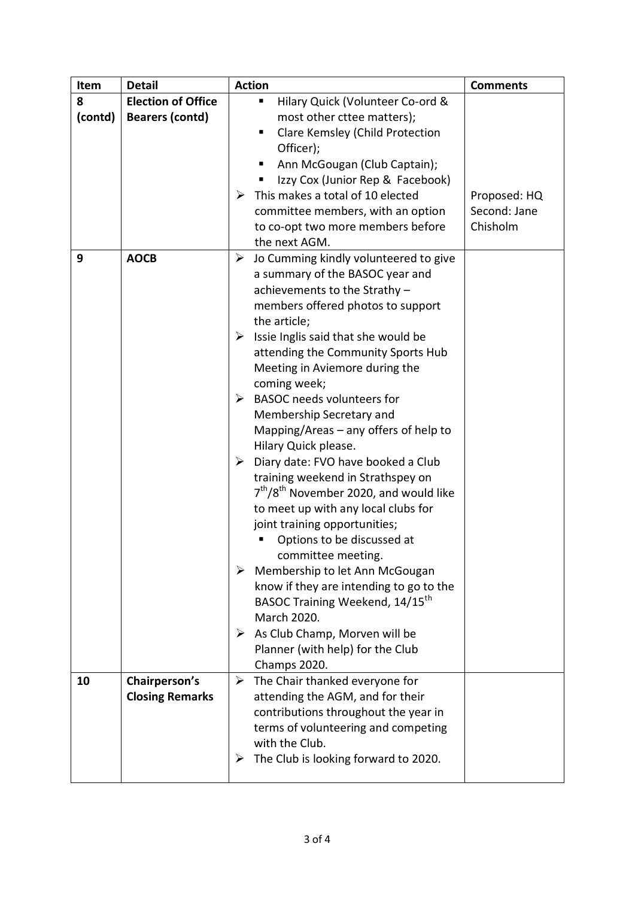|                                                                         | <b>Comments</b> |
|-------------------------------------------------------------------------|-----------------|
| <b>Election of Office</b><br>8<br>Hilary Quick (Volunteer Co-ord &<br>ш |                 |
| (contd)<br><b>Bearers (contd)</b><br>most other cttee matters);         |                 |
| Clare Kemsley (Child Protection                                         |                 |
| Officer);                                                               |                 |
| Ann McGougan (Club Captain);                                            |                 |
| Izzy Cox (Junior Rep & Facebook)                                        |                 |
| This makes a total of 10 elected<br>➤<br>Proposed: HQ                   |                 |
| Second: Jane<br>committee members, with an option                       |                 |
| Chisholm<br>to co-opt two more members before                           |                 |
| the next AGM.                                                           |                 |
| 9<br><b>AOCB</b><br>Jo Cumming kindly volunteered to give<br>➤          |                 |
| a summary of the BASOC year and                                         |                 |
| achievements to the Strathy-                                            |                 |
| members offered photos to support                                       |                 |
| the article;                                                            |                 |
| $\triangleright$ Issie Inglis said that she would be                    |                 |
| attending the Community Sports Hub                                      |                 |
| Meeting in Aviemore during the                                          |                 |
| coming week;                                                            |                 |
| <b>BASOC</b> needs volunteers for<br>➤                                  |                 |
| Membership Secretary and                                                |                 |
| Mapping/Areas $-$ any offers of help to                                 |                 |
| Hilary Quick please.                                                    |                 |
| Diary date: FVO have booked a Club<br>➤                                 |                 |
| training weekend in Strathspey on                                       |                 |
| $7th/8th$ November 2020, and would like                                 |                 |
| to meet up with any local clubs for                                     |                 |
| joint training opportunities;                                           |                 |
| Options to be discussed at                                              |                 |
| committee meeting.                                                      |                 |
| $\triangleright$ Membership to let Ann McGougan                         |                 |
| know if they are intending to go to the                                 |                 |
| BASOC Training Weekend, 14/15 <sup>th</sup>                             |                 |
| March 2020.                                                             |                 |
| $\triangleright$ As Club Champ, Morven will be                          |                 |
| Planner (with help) for the Club                                        |                 |
| Champs 2020.                                                            |                 |
| Chairperson's<br>$\triangleright$ The Chair thanked everyone for<br>10  |                 |
| <b>Closing Remarks</b><br>attending the AGM, and for their              |                 |
| contributions throughout the year in                                    |                 |
| terms of volunteering and competing<br>with the Club.                   |                 |
| The Club is looking forward to 2020.<br>➤                               |                 |
|                                                                         |                 |